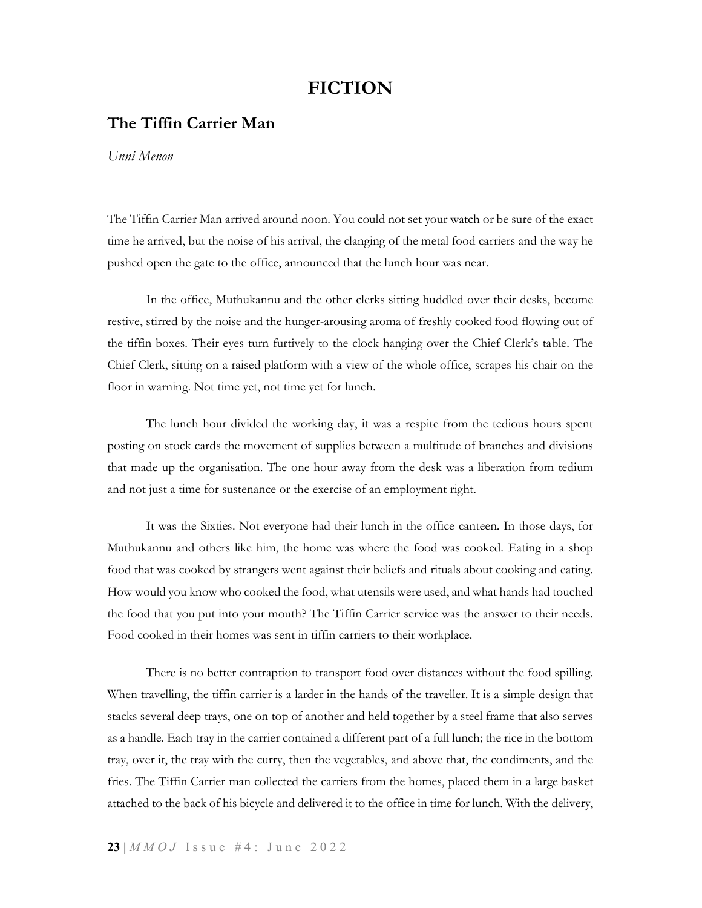## FICTION

## The Tiffin Carrier Man

Unni Menon

The Tiffin Carrier Man arrived around noon. You could not set your watch or be sure of the exact time he arrived, but the noise of his arrival, the clanging of the metal food carriers and the way he pushed open the gate to the office, announced that the lunch hour was near.

In the office, Muthukannu and the other clerks sitting huddled over their desks, become restive, stirred by the noise and the hunger-arousing aroma of freshly cooked food flowing out of the tiffin boxes. Their eyes turn furtively to the clock hanging over the Chief Clerk's table. The Chief Clerk, sitting on a raised platform with a view of the whole office, scrapes his chair on the floor in warning. Not time yet, not time yet for lunch.

The lunch hour divided the working day, it was a respite from the tedious hours spent posting on stock cards the movement of supplies between a multitude of branches and divisions that made up the organisation. The one hour away from the desk was a liberation from tedium and not just a time for sustenance or the exercise of an employment right.

It was the Sixties. Not everyone had their lunch in the office canteen. In those days, for Muthukannu and others like him, the home was where the food was cooked. Eating in a shop food that was cooked by strangers went against their beliefs and rituals about cooking and eating. How would you know who cooked the food, what utensils were used, and what hands had touched the food that you put into your mouth? The Tiffin Carrier service was the answer to their needs. Food cooked in their homes was sent in tiffin carriers to their workplace.

There is no better contraption to transport food over distances without the food spilling. When travelling, the tiffin carrier is a larder in the hands of the traveller. It is a simple design that stacks several deep trays, one on top of another and held together by a steel frame that also serves as a handle. Each tray in the carrier contained a different part of a full lunch; the rice in the bottom tray, over it, the tray with the curry, then the vegetables, and above that, the condiments, and the fries. The Tiffin Carrier man collected the carriers from the homes, placed them in a large basket attached to the back of his bicycle and delivered it to the office in time for lunch. With the delivery,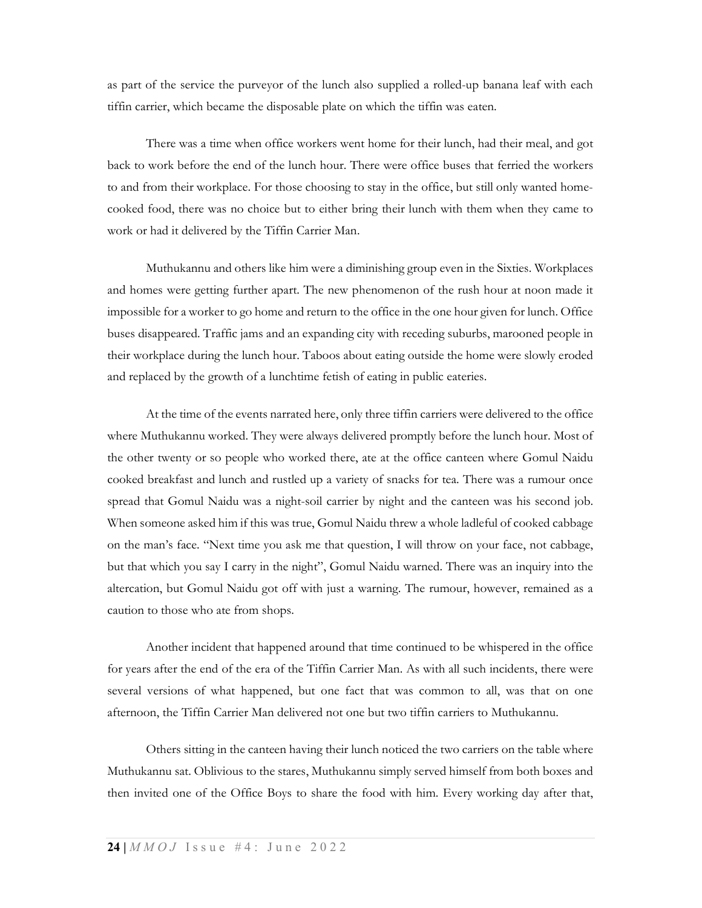as part of the service the purveyor of the lunch also supplied a rolled-up banana leaf with each tiffin carrier, which became the disposable plate on which the tiffin was eaten.

There was a time when office workers went home for their lunch, had their meal, and got back to work before the end of the lunch hour. There were office buses that ferried the workers to and from their workplace. For those choosing to stay in the office, but still only wanted homecooked food, there was no choice but to either bring their lunch with them when they came to work or had it delivered by the Tiffin Carrier Man.

Muthukannu and others like him were a diminishing group even in the Sixties. Workplaces and homes were getting further apart. The new phenomenon of the rush hour at noon made it impossible for a worker to go home and return to the office in the one hour given for lunch. Office buses disappeared. Traffic jams and an expanding city with receding suburbs, marooned people in their workplace during the lunch hour. Taboos about eating outside the home were slowly eroded and replaced by the growth of a lunchtime fetish of eating in public eateries.

At the time of the events narrated here, only three tiffin carriers were delivered to the office where Muthukannu worked. They were always delivered promptly before the lunch hour. Most of the other twenty or so people who worked there, ate at the office canteen where Gomul Naidu cooked breakfast and lunch and rustled up a variety of snacks for tea. There was a rumour once spread that Gomul Naidu was a night-soil carrier by night and the canteen was his second job. When someone asked him if this was true, Gomul Naidu threw a whole ladleful of cooked cabbage on the man's face. "Next time you ask me that question, I will throw on your face, not cabbage, but that which you say I carry in the night", Gomul Naidu warned. There was an inquiry into the altercation, but Gomul Naidu got off with just a warning. The rumour, however, remained as a caution to those who ate from shops.

Another incident that happened around that time continued to be whispered in the office for years after the end of the era of the Tiffin Carrier Man. As with all such incidents, there were several versions of what happened, but one fact that was common to all, was that on one afternoon, the Tiffin Carrier Man delivered not one but two tiffin carriers to Muthukannu.

Others sitting in the canteen having their lunch noticed the two carriers on the table where Muthukannu sat. Oblivious to the stares, Muthukannu simply served himself from both boxes and then invited one of the Office Boys to share the food with him. Every working day after that,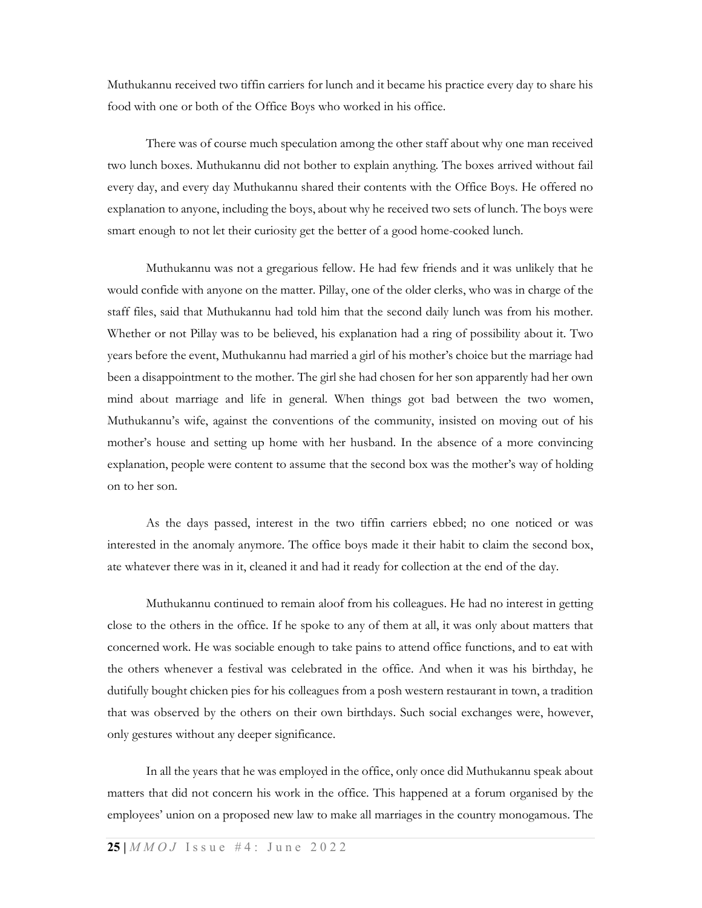Muthukannu received two tiffin carriers for lunch and it became his practice every day to share his food with one or both of the Office Boys who worked in his office.

There was of course much speculation among the other staff about why one man received two lunch boxes. Muthukannu did not bother to explain anything. The boxes arrived without fail every day, and every day Muthukannu shared their contents with the Office Boys. He offered no explanation to anyone, including the boys, about why he received two sets of lunch. The boys were smart enough to not let their curiosity get the better of a good home-cooked lunch.

Muthukannu was not a gregarious fellow. He had few friends and it was unlikely that he would confide with anyone on the matter. Pillay, one of the older clerks, who was in charge of the staff files, said that Muthukannu had told him that the second daily lunch was from his mother. Whether or not Pillay was to be believed, his explanation had a ring of possibility about it. Two years before the event, Muthukannu had married a girl of his mother's choice but the marriage had been a disappointment to the mother. The girl she had chosen for her son apparently had her own mind about marriage and life in general. When things got bad between the two women, Muthukannu's wife, against the conventions of the community, insisted on moving out of his mother's house and setting up home with her husband. In the absence of a more convincing explanation, people were content to assume that the second box was the mother's way of holding on to her son.

As the days passed, interest in the two tiffin carriers ebbed; no one noticed or was interested in the anomaly anymore. The office boys made it their habit to claim the second box, ate whatever there was in it, cleaned it and had it ready for collection at the end of the day.

Muthukannu continued to remain aloof from his colleagues. He had no interest in getting close to the others in the office. If he spoke to any of them at all, it was only about matters that concerned work. He was sociable enough to take pains to attend office functions, and to eat with the others whenever a festival was celebrated in the office. And when it was his birthday, he dutifully bought chicken pies for his colleagues from a posh western restaurant in town, a tradition that was observed by the others on their own birthdays. Such social exchanges were, however, only gestures without any deeper significance.

In all the years that he was employed in the office, only once did Muthukannu speak about matters that did not concern his work in the office. This happened at a forum organised by the employees' union on a proposed new law to make all marriages in the country monogamous. The